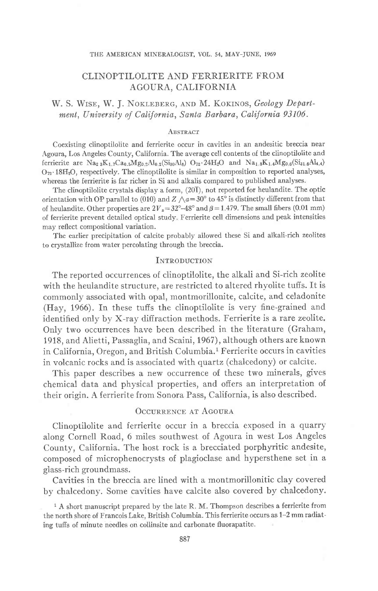#### THE AMERICAN MINERALOGIST, VOL. 54, MAY-JUNE, 1969

# CLINOPTILOLITE AND FERRIERITE FROM AGOURA, CALIFORNIA

# W. S. WISE, W. J. NOKLEBERG, AND M. KOKINOS, Geology Department, University of California, Santa Barbara, California 93106.

### ABSTRACT

Coexisting clinoptilolite and ferrierite occur in cavities in an andesitic breccia near .A.goura, Los Angeles County, California. The average cell contents of the clinoptilolite and ferrierite are  $\text{Na}_{23}\text{K}_{1.7}\text{Ca}_{0.5}\text{Mg}_{0.2}\text{Al}_{0.2}(\text{Si}_{30}\text{Al}_{6})$   $\text{O}_{72}\cdot24\text{H}_{2}\text{O}$  and  $\text{Na}_{1.8}\text{K}_{1.4}\text{Mg}_{0.6}(\text{Si}_{31.6}\text{Al}_{4.4})$  $O_{72}$  18H<sub>2</sub>O, respectively. The clinoptilolite is similar in composition to reported analyses, whereas the ferrierite is far richer in Si and alkalis compared to published analyses.

The clinoptilolite crystals display a form, (201), not reported for heulandite. The optic orientation with OP parallel to (010) and  $Z \wedge a = 30^{\circ}$  to 45° is distinctly different from that of heulandite. Other properties are  $2V_z=32^{\circ}-48^{\circ}$  and  $\beta=1.479$ . The small fibers (0.01 mm) of ferrierite prevent detailed optical study Ferrierite cell dimensions and peak intensities may reflect compositional variation.

The earlier precipitation of calcite probably allowed these Si and alkali-rich zeolites to crystailize from water percolating through the breccia.

### INTRODUCTION

The reported occurrences of clinoptilolite, the alkali and Si-rich zeolite with the heulandite structure, are restricted to altered rhyolite tuffs. It is commonly associated with opal, montmorillonite, calcite, and celadonite (Hay, 1966). In these tuffs the clinoptilolite is very fine-grained and identified only by X-ray diffraction methods. Ferrierite is a rare zeolite. Only two occurrences have been described in the literature (Graham, 1918, and Alietti, Passaglia, and Scaini, 1967), although others are known in California, Oregon, and British Columbia.<sup>1</sup> Ferrierite occurs in cavities in volcanic rocks and is associated with quartz (chalcedony) or calcite.

This paper describes a new occurrence of these two minerals, gives chemical data and physical properties, and offers an interpretation of their origin. A ferrierite from Sonora Pass, California, is also described.

## OCCURRENCE AT AGOURA

Clinoptilolite and ferrierite occur in a breccia exposed in a quarry along Cornell Road, 6 miles southwest of Agoura in west Los Angeles County, California. The host rock is a brecciated porphyritic andesite, composed of microphenocrysts of plagioclase and hypersthene set in a glass-rich groundmass.

Cavities in the breccia are Iined with a montmorillonitic clay covered by chalcedony. Some cavities have calcite also covered by chalcedony.

<sup>&</sup>lt;sup>1</sup> A short manuscript prepared by the late R. M. Thompson describes a ferrierite from the north shore of Francois Lake, British Columbia. This ferrierite occurs as 1-2 mm radiating tuffs of minute needles on collinsite and carbonate fluorapatite.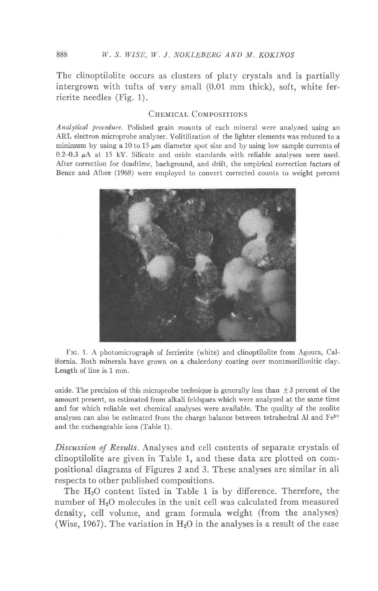The clinoptilolite occurs as clusters of platy crystals and is partially intergrown with tufts of very small (0.01 mm thick), soft, white ferrierite needles (Fig. 1).

## CHEMICAL COMPOSITIONS

Analytical procedure. Polished grain mounts of each mineral were analyzed using an ARL electron microprobe analyzer. Volitilization of the lighter elements was reduced to a minimum by using a 10 to 15  $\mu$ m diameter spot size and by using low sample currents of  $0.2-0.3$   $\mu$ A at 15 kV. Silicate and oxide standards with reliable analyses were used. After correction for deadtime, background, and drift, the empirical correction factors of Bence and Albee (1968) were employed to convert corrected counts to weight percent



Frc. 1. A photomicrograph of ferrierite (white) and clinoptilolite from Agoura, California. Both minerals have grown on a chalcedony coating over montmorillonitic clay. Length of iine is 1 mm.

oxide. The precision of this microprobe technique is generally less than  $\pm 3$  percent of the amount present, as estimated from alkali feldspars which were analyzed, at the same time and for which reliable wet chemical anaiyses were available. The quality of the zeolite analyses can also be estimated from the charge balance between tetrahedral Al and Fe3+ and the exchangeable ions (Table 1).

Discussion of Results. Analyses and cell contents of separate crystals of clinoptilolite are given in Table 1, and these data are plotted on compositional diagrams of Figures 2 and 3. These analyses are similar in all respects to other published compositions.

The HzO content listed in Table 1 is by difference. Therefore, the number of HzO molecules in the unit cell was calculated from measured density, cell volume, and gram formula weight (from the analyses) (Wise, 1967). The variation in  $H_2O$  in the analyses is a result of the ease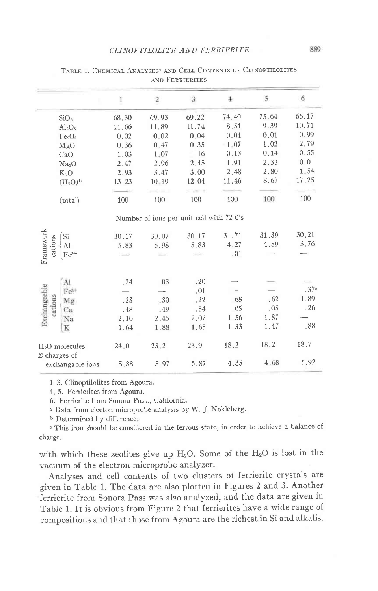|                                        | $\,$ I | $\sqrt{2}$                               | $\overline{3}$ | $\ddot{+}$ | 5     | 6     |
|----------------------------------------|--------|------------------------------------------|----------------|------------|-------|-------|
| SiO <sub>2</sub>                       | 68.30  | 69.93                                    | 69.22          | 74.40      | 75.64 | 66.17 |
| $Al_2O_3$                              | 11.66  | 11.89                                    | 11.74          | 8.51       | 9.39  | 10.71 |
| Fe <sub>2</sub> O <sub>3</sub>         | 0.02   | 0.02                                     | 0.04           | 0.04       | 0.01  | 0.99  |
| MgO                                    | 0.36   | 0.47                                     | 0.35           | 1.07       | 1.02  | 2.79  |
| CaO                                    | 1.03   | 1.07                                     | 1.16           | 0.13       | 0.14  | 0.55  |
| Na <sub>2</sub> O                      | 2.47   | 2.96                                     | 2.45           | 1.91       | 2.33  | 0.0   |
| $K_2O$                                 | 2.93   | 3.47                                     | 3.00           | 2.48       | 2.80  | 1.54  |
| (H <sub>2</sub> O) <sup>b</sup>        | 13.23  | 10.19                                    | 12.04          | 11.46      | 8.67  | 17.25 |
| (total)                                | 100    | 100                                      | 100            | 100        | 100   | 100   |
|                                        |        | Number of ions per unit cell with 72 0's |                |            |       |       |
| $\mathrm{Si}$                          | 30.17  | 30.02                                    | 30.17          | 31.71      | 31.39 | 30.21 |
| cations<br>AI                          | 5.83   | 5.98                                     | 5.83           | 4.27       | 4.59  | 5.76  |
| Framework<br>$\Gamma e^{3+}$           |        |                                          |                | .01        |       |       |
| Al                                     | .24    | .03                                      | .20            |            |       |       |
| Exchangeeble<br>$Fe3+$                 |        |                                          | .01            |            |       | .37c  |
| Mg                                     | .23    | .30                                      | .22            | .68        | .62   | 1.89  |
| cations<br>Ca                          | .48    | .49                                      | .54            | .05        | .05   | .26   |
| Na                                     | 2.10   | 2.45                                     | 2.07           | 1.56       | 1.87  |       |
| $\mathbf K$                            | 1.64   | 1.88                                     | 1.65           | 1.33       | 1.47  | .88   |
| $H2O$ molecules<br>$\Sigma$ charges of | 24.0   | 23.2                                     | 23.9           | 18.2       | 18.2  | 18.7  |
| exchangable ions                       | 5.88   | 5.97                                     | 5.87           | 4.35       | 4.68  | 5.92  |

TABLE 1. CHEMICAL ANALYSES<sup>8</sup> AND CELL CONTENTS OF CLINOPTILOLITES AND FERRIERITES

1-3. Clinoptilolites from Agoura.

4, 5. Ferrierites from Agoura.

6. Ferrierite from Sonora Pass., California.

a Data from electon microprobe analysis by W. J. Nokleberg.

<sup>b</sup> Determined by difference.

<sup>e</sup> This iron should be considered in the ferrous state, in order to achieve a balance of charge.

with which these zeolites give up  $H_2O$ . Some of the  $H_2O$  is lost in the vacuum of the electron microprobe analyzer.

Analyses and cell contents of two clusters of ferrierite crystals are given in Table 1. The data are also plotted in Figures 2 and 3. Another ferrierite from Sonora Pass was also analyzed, and the data are given in Table 1. It is obvious from Figure 2 that ferrierites have a wide range of compositions and that those from Agoura are the richest in Si and alkalis.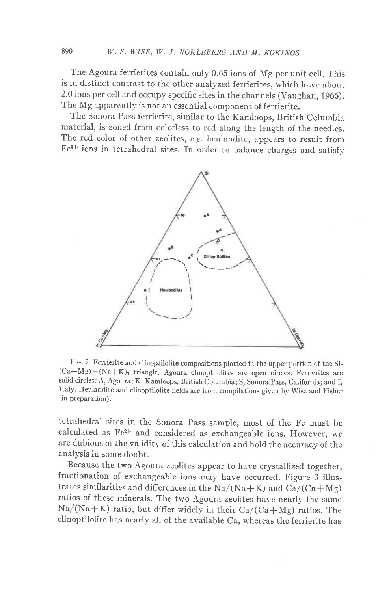The Agoura ferrierites contain only 0.65 ions of Mg per unit cell. This is in distinct contrast to the other analyzed ferrierites, which have about 2.0 ions per cell and occupy specific sites in the channels (Vaughan, 1966). The Mg apparently is not an essential component of ferrierite.

The Sonora Pass ferrierite, similar to the Kamloops, British Columbia material, is zoned from colorless to red along the length of the needles. The red color of other zeolites, e.g. heulandite, appears to result from Fe3+ ions in tetrahedral sites. In order to balance charges and satisfv



FIG. 2. Ferrierite and clinoptilolite compositions plotted in the upper portion of the Si- $(Ca+Mg)-(Na+K)_2$  triangle. Agoura clinoptilolites are open circles. Ferrierites are solid circles: A, Agoura; K, Kamloops, British Columbia; S, Sonora pass, California; and I, Italy. Heulandite and clinoptilolite fields are from compilations given by Wise and Fisher (in preparation).

tetrahedral sites in the Sonora Pass sample, most of the Fe must be calculated as Fe2+ and considered as exchangeable ions. Ifowever, we are dubious of the validity of this calculation and hold the accuracy of the analysis in some doubt.

Because the two Agoura zeolites appear to have crystallized together, fractionation of exchangeable ions may have occurred. Figure 3 illustrates similarities and differences in the  $Na/(Na+K)$  and  $Ca/(Ca+Mg)$ ratios of these minerals. The two Aqoura zeolites have nearly the same  $\text{Na}/(\text{Na} + \text{K})$  ratio, but differ widely in their Ca/(Ca+Mg) ratios. The clinoptilolite has nearly all of the available ca, whereas the ferrierite has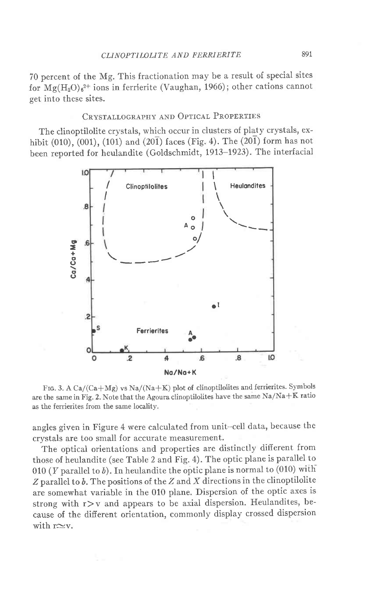70 percent of the Mg. This fractionation may be a result of special sites for  $Mg(H_2O)_{6}^{2+}$  ions in ferrierite (Vaughan, 1966); other cations cannot get into these sites.

## CRYSTALLOGRAPHY AND OPTICAL PROPERTIES

The clinoptilolite crystals, which occur in clusters of platy crystals, exhibit (010), (001), (101) and (201) faces (Fig. 4). The (201) form has not been reported for heulandite (Goldschmidt, 1913-1923). The interfacial



FIG. 3. A Ca/(Ca+Mg) vs Na/(Na+K) plot of clinoptilolites and ferrierites. Symbols are the same in Fig. 2. Note that the Agoura clinoptilolites have the same  $Na/Na+K$  ratio as the ferrierites from the same locality.

angles given in Figure 4 were calculated from unit-cell data, because the crystals are too small for accurate measurement.

The optical orientations and properties are distinctly different from those of heulandite (see Table 2 and Fig. 4). The optic plane is parallel to 010 (*Y* parallel to  $b$ ). In heulandite the optic plane is normal to (010) with  $Z$  parallel to  $b$ . The positions of the  $Z$  and  $X$  directions in the clinoptilolite are somewhat variable in the 010 plane. Dispersion of the optic axes is strong with  $r$  > v and appears to be axial dispersion. Heulandites, because of the difierent orientation, commonly display crossed dispersion with  $r\simeq v$ .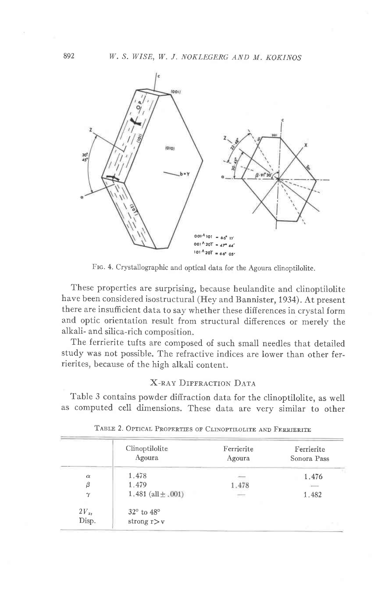

FIG. 4. Crystallographic and optical data for the Agoura clinoptilolite.

These properties are surprising, because heulandite and clinoptilolite have been considered isostructural (Hey and Bannister, 1934). At present there are insufficient data to say whether these differences in crystal form and optic orientation result from structural differences or merely the alkali- and silica-rich composition.

The ferrierite tufts are composed of such small needles that detailed study was not possible. The refractive indices are lower than other ferrierites, because of the high alkali content.

## **X-RAY DIFFRACTION DATA**

Table 3 contains powder diffraction data for the clinoptilolite, as well as computed cell dimensions. These data are very similar to other

|              | Clinoptilolite<br>Agoura | Ferrierite<br>Agoura | Ferrierite<br>Sonora Pass |
|--------------|--------------------------|----------------------|---------------------------|
| $\alpha$     | 1.478                    |                      | 1.476                     |
| β            | 1.479                    | 1.478                | $\frac{1}{2}$             |
| $\gamma$     | 1.481 (all $\pm$ .001)   | $\longrightarrow$    | 1.482                     |
| $2V_{\rm z}$ | 32° to 48°               |                      |                           |
| Disp.        | strong $r > v$           |                      |                           |

TABLE 2. OPTICAL PROPERTIES OF CLINOPTILOLITE AND FERRIERITE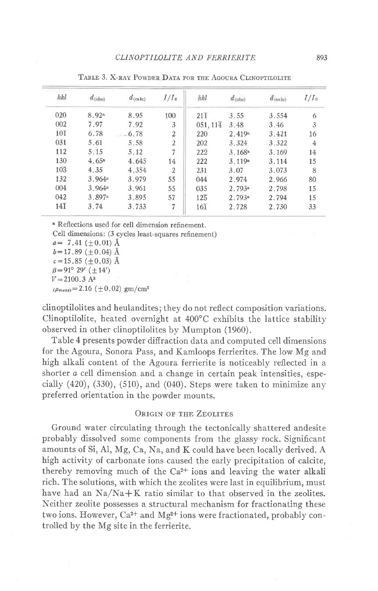| $d_{\text{(obs)}}$ | $d_{\text{(calo)}}$ | $I/I_0$        | hkl                   | $d$ <sub>(obs)</sub> | $d_{\text{(enle)}}$ | $I/I_0$        |
|--------------------|---------------------|----------------|-----------------------|----------------------|---------------------|----------------|
| 8.92a              | 8.95                | 100            | $21\overline{1}$      | 3.55                 | 3.554               | 6              |
| 7.97               | 7.92                | 3              | $051, 11\overline{4}$ | 3.48                 | 3.46                | 3              |
| 6.78               | 6.78                | $\overline{2}$ | 220                   | 2.419 <sup>a</sup>   | 3.421               | 16             |
| 5.61               | 5.58                | $\overline{2}$ | 202                   | 3.324                | 3.322               | $\overline{4}$ |
| 5.15               | 5.12                | $\overline{7}$ | $22\overline{2}$      | 3.168a               | 3.169               | 14             |
| 4.65 <sup>a</sup>  | 4.645               | 14             | 222                   | 3.119a               | 3.114               | 15             |
| 4.35               | 4.354               | $\overline{2}$ | 231                   | 3.07                 | 3.073               | 8              |
| 3.964 <sup>a</sup> | 3.979               | 55             | 044                   | 2.974                | 2.966               | 80             |
| 3.964a             | 3.961               | 55             | 035                   | 2.793a               | 2.798               | 15             |
| 3.897a             | 3.895               | 57             | $12\overline{5}$      | 2.793 <sup>a</sup>   | 2.794               | 15             |
| 3.74               | 3.733               | 7              | $16\overline{1}$      | 2.728                | 2.730               | 33             |
|                    |                     |                |                       |                      |                     |                |

TABLE 3. X-RAY POWDER DATA FOR THE AGOURA CLINOPTILOLITE

<sup>a</sup> Reflections used for cell dimension refinement.

Cell dimensions: (3 cycles least-squares refinement)

 $a = 7.41 (\pm 0.01)$  Å  $b=17.89 (+0.04)$  Å  $c = 15.85 \ (\pm 0.03)$  Å  $\beta = 91^{\circ} 29' (\pm 14')$  $V = 2100.3$  A<sup>3</sup>  $(\rho_{meas})$  = 2.16 ( $\pm$ 0.02) gm/cm<sup>3</sup>

clinoptilolites and heulandites; they do not reflect composition variations. Clinoptilolite, heated overnight at  $400^{\circ}$ C exhibits the lattice stability observed in other clinoptilolites by Mumpton (1960).

Table 4 presents powder diffraction data and computed cell dimensions for the Agoura, Sonora Pass, and Kamloops ferrierites. The low Mg and high alkali content of the Agoura ferrierite is noticeably reflected in a shorter *a* cell dimension and a change in certain peak intensities, especially  $(420)$ ,  $(330)$ ,  $(510)$ , and  $(040)$ . Steps were taken to minimize any preferred orientation in the powder mounts.

## **ORIGIN OF THE ZEOLITES**

Ground water circulating through the tectonically shattered andesite probably dissolved some components from the glassy rock. Significant amounts of Si, Al, Mg, Ca, Na, and K could have been locally derived. A high activity of carbonate ions caused the early precipitation of calcite, thereby removing much of the  $Ca^{2+}$  ions and leaving the water alkali rich. The solutions, with which the zeolites were last in equilibrium, must have had an  $\text{Na}/\text{Na} + \text{K}$  ratio similar to that observed in the zeolites. Neither zeolite possesses a structural mechanism for fractionating these two ions. However,  $Ca^{2+}$  and  $Mg^{2+}$  ions were fractionated, probably controlled by the Mg site in the ferrierite.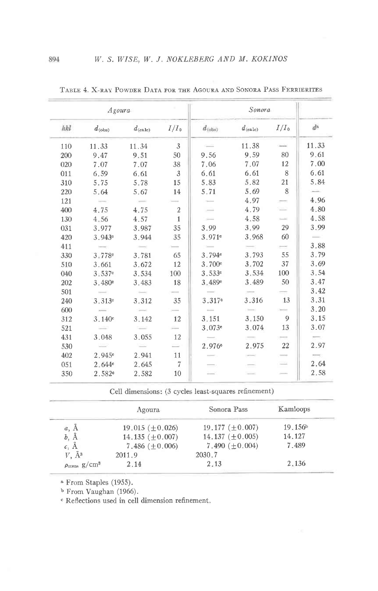| Agoura |                    |                     | Sonora           |                    |                     |         |             |
|--------|--------------------|---------------------|------------------|--------------------|---------------------|---------|-------------|
| hkl    | $d_{\text{(obs)}}$ | $d_{\text{(calc)}}$ | $I/I_0$          | $d_{\text{(obs)}}$ | $d_{\text{(calc)}}$ | $I/I_0$ | $d^{\rm a}$ |
| 110    | 11.33              | 11.34               | 3                |                    | 11.38               |         | 11.33       |
| 200    | 9.47               | 9.51                | 50               | 9.56               | 9.59                | 80      | 9.61        |
| 020    | 7.07               | 7.07                | 38               | 7.06               | 7.07                | 12      | 7.00        |
| 011    | 6.59               | 6.61                | 3                | 6.61               | 6.61                | 8       | 6.61        |
| 310    | 5.75               | 5.78                | 15               | 5.83               | 5.82                | 21      | 5.84        |
| 220    | 5.64               | 5.67                | 14               | 5.71               | 5.69                | 8       |             |
| 121    |                    |                     |                  |                    | 4.97                |         | 4.96        |
| 400    | 4.75               | 4.75                | $\boldsymbol{2}$ |                    | 4.79                |         | 4.80        |
| 130    | 4.56               | 4.57                | $\mathbf{1}$     |                    | 4.58                |         | 4.58        |
| 031    | 3.977              | 3.987               | 35               | 3.99               | 3.99                | 29      | 3.99        |
| 420    | 3.943c             | 3.944               | 35               | 3.971c             | 3.968               | 60      |             |
| 411    |                    |                     |                  |                    |                     |         | 3.88        |
| 330    | 3.778 <sup>e</sup> | 3.781               | 65               | 3.794 <sup>c</sup> | 3.793               | 55      | 3.79        |
| 510    | 3.661              | 3.672               | 12               | 3.700c             | 3.702               | 37      | 3.69        |
| 040    | 3.537 <sup>c</sup> | 3.534               | 100              | 3.533c             | 3.534               | 100     | 3.54        |
| 202    | 3.480c             | 3.483               | 18               | 3.489 <sup>e</sup> | 3.489               | 50      | 3.47        |
| 501    |                    |                     |                  |                    |                     |         | 3.42        |
| 240    | 3.313c             | 3.312               | 35               | 3.317 <sup>c</sup> | 3.316               | 13      | 3.31        |
| 600    |                    |                     |                  |                    |                     |         | 3.20        |
| 312    | 3.140c             | 3.142               | 12               | 3.151              | 3.150               | 9       | 3.15        |
| 521    |                    |                     |                  | 3.073c             | 3.074               | 13      | 3.07        |
| 431    | 3.048              | 3.055               | 12               |                    |                     |         |             |
| 530    |                    |                     |                  | 2.976 <sup>c</sup> | 2.975               | 22      | 2.97        |
| 402    | 2.945 <sup>c</sup> | 2.941               | 11               |                    |                     |         |             |
| 051    | 2.644e             | 2.645               | $\overline{7}$   |                    | ᆖ                   |         | 2.64        |
| 350    | 2.582 <sup>c</sup> | 2.582               | 10               |                    |                     |         | 2.58        |

TABLE 4. X-RAY POWDER DATA FOR THE AGOURA AND SONORA PASS FERRIERITES

Cell dimensions: (3 cycles least-squares refinement)

|                                     | Agoura               | Sonora Pass          | Kamloops            |
|-------------------------------------|----------------------|----------------------|---------------------|
| a, A                                | 19.015 $(\pm 0.026)$ | 19.177 $(\pm 0.007)$ | 19.156 <sup>b</sup> |
| $b, \overline{A}$                   | 14.135 $(\pm 0.007)$ | 14.137 $(\pm 0.005)$ | 14.127              |
| $c, \mathring{A}$                   | 7.486 $(\pm 0.006)$  | 7.490 $(\pm 0.004)$  | 7.489               |
| $V, \AA$ <sup>3</sup>               | 2011.9               | 2030.7               |                     |
| $\rho_{\rm meas}$ g/cm <sup>3</sup> | 2.14                 | 2.13                 | 2.136               |

<sup>a</sup> From Staples (1955).

<sup>b</sup> From Vaughan (1966).

<sup>c</sup> Reflections used in cell dimension refinement.